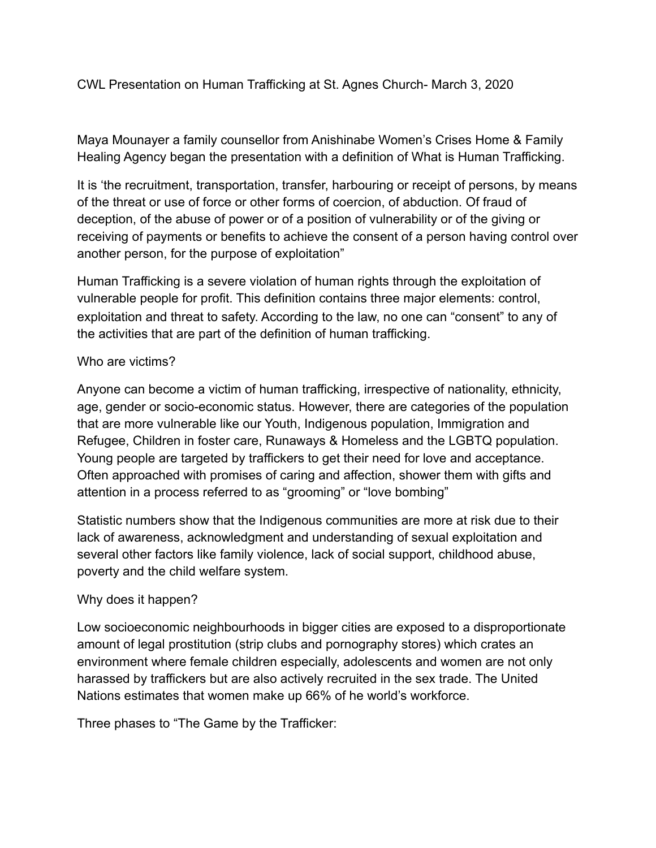CWL Presentation on Human Trafficking at St. Agnes Church- March 3, 2020

Maya Mounayer a family counsellor from Anishinabe Women's Crises Home & Family Healing Agency began the presentation with a definition of What is Human Trafficking.

It is 'the recruitment, transportation, transfer, harbouring or receipt of persons, by means of the threat or use of force or other forms of coercion, of abduction. Of fraud of deception, of the abuse of power or of a position of vulnerability or of the giving or receiving of payments or benefits to achieve the consent of a person having control over another person, for the purpose of exploitation"

Human Trafficking is a severe violation of human rights through the exploitation of vulnerable people for profit. This definition contains three major elements: control, exploitation and threat to safety. According to the law, no one can "consent" to any of the activities that are part of the definition of human trafficking.

## Who are victims?

Anyone can become a victim of human trafficking, irrespective of nationality, ethnicity, age, gender or socio-economic status. However, there are categories of the population that are more vulnerable like our Youth, Indigenous population, Immigration and Refugee, Children in foster care, Runaways & Homeless and the LGBTQ population. Young people are targeted by traffickers to get their need for love and acceptance. Often approached with promises of caring and affection, shower them with gifts and attention in a process referred to as "grooming" or "love bombing"

Statistic numbers show that the Indigenous communities are more at risk due to their lack of awareness, acknowledgment and understanding of sexual exploitation and several other factors like family violence, lack of social support, childhood abuse, poverty and the child welfare system.

## Why does it happen?

Low socioeconomic neighbourhoods in bigger cities are exposed to a disproportionate amount of legal prostitution (strip clubs and pornography stores) which crates an environment where female children especially, adolescents and women are not only harassed by traffickers but are also actively recruited in the sex trade. The United Nations estimates that women make up 66% of he world's workforce.

Three phases to "The Game by the Trafficker: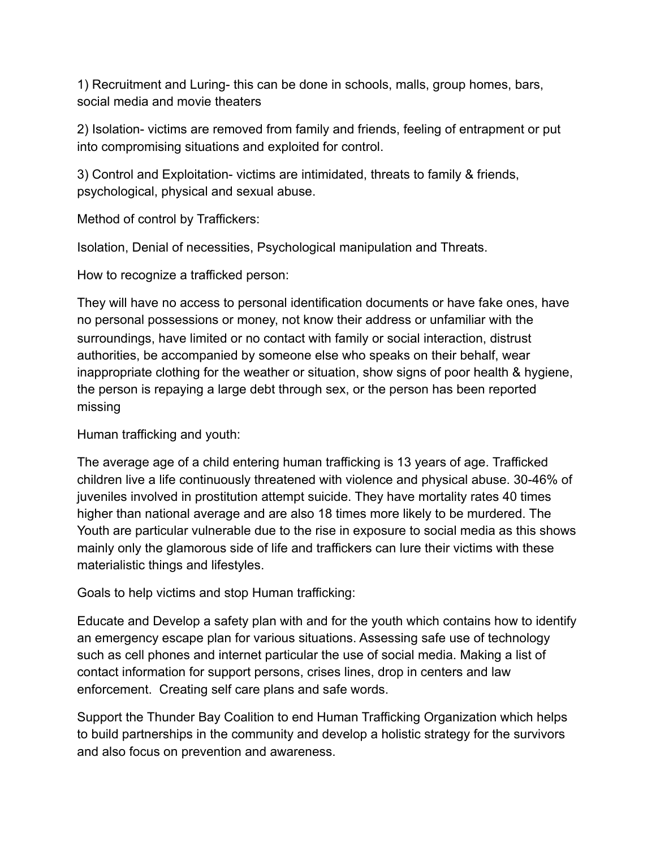1) Recruitment and Luring- this can be done in schools, malls, group homes, bars, social media and movie theaters

2) Isolation- victims are removed from family and friends, feeling of entrapment or put into compromising situations and exploited for control.

3) Control and Exploitation- victims are intimidated, threats to family & friends, psychological, physical and sexual abuse.

Method of control by Traffickers:

Isolation, Denial of necessities, Psychological manipulation and Threats.

How to recognize a trafficked person:

They will have no access to personal identification documents or have fake ones, have no personal possessions or money, not know their address or unfamiliar with the surroundings, have limited or no contact with family or social interaction, distrust authorities, be accompanied by someone else who speaks on their behalf, wear inappropriate clothing for the weather or situation, show signs of poor health & hygiene, the person is repaying a large debt through sex, or the person has been reported missing

Human trafficking and youth:

The average age of a child entering human trafficking is 13 years of age. Trafficked children live a life continuously threatened with violence and physical abuse. 30-46% of juveniles involved in prostitution attempt suicide. They have mortality rates 40 times higher than national average and are also 18 times more likely to be murdered. The Youth are particular vulnerable due to the rise in exposure to social media as this shows mainly only the glamorous side of life and traffickers can lure their victims with these materialistic things and lifestyles.

Goals to help victims and stop Human trafficking:

Educate and Develop a safety plan with and for the youth which contains how to identify an emergency escape plan for various situations. Assessing safe use of technology such as cell phones and internet particular the use of social media. Making a list of contact information for support persons, crises lines, drop in centers and law enforcement. Creating self care plans and safe words.

Support the Thunder Bay Coalition to end Human Trafficking Organization which helps to build partnerships in the community and develop a holistic strategy for the survivors and also focus on prevention and awareness.